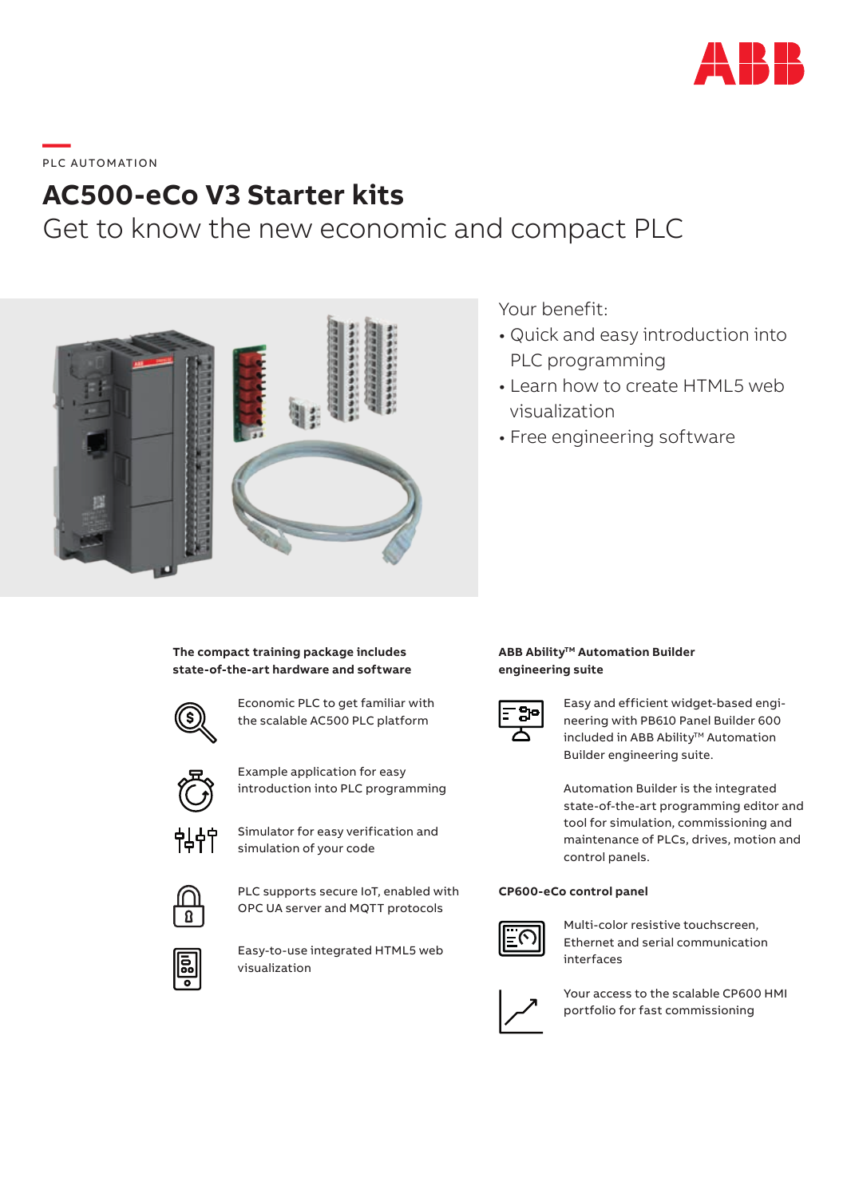

# **\_\_\_\_**<br>PLC AUTOMATION

## **AC500-eCo V3 Starter kits**

Get to know the new economic and compact PLC



### Your benefit:

- Quick and easy introduction into PLC programming
- Learn how to create HTML5 web visualization
- Free engineering software

**The compact training package includes state-of-the-art hardware and software**



Economic PLC to get familiar with the scalable AC500 PLC platform



Example application for easy introduction into PLC programming



Simulator for easy verification and simulation of your code



PLC supports secure IoT, enabled with OPC UA server and MQTT protocols



Easy-to-use integrated HTML5 web visualization

#### **ABB Ability<sup>™</sup> Automation Builder engineering suite**



Easy and efficient widget-based engineering with PB610 Panel Builder 600 included in ABB Ability™ Automation Builder engineering suite.

Automation Builder is the integrated state-of-the-art programming editor and tool for simulation, commissioning and maintenance of PLCs, drives, motion and control panels.

#### **CP600-eCo control panel**



Multi-color resistive touchscreen, Ethernet and serial communication interfaces



Your access to the scalable CP600 HMI portfolio for fast commissioning